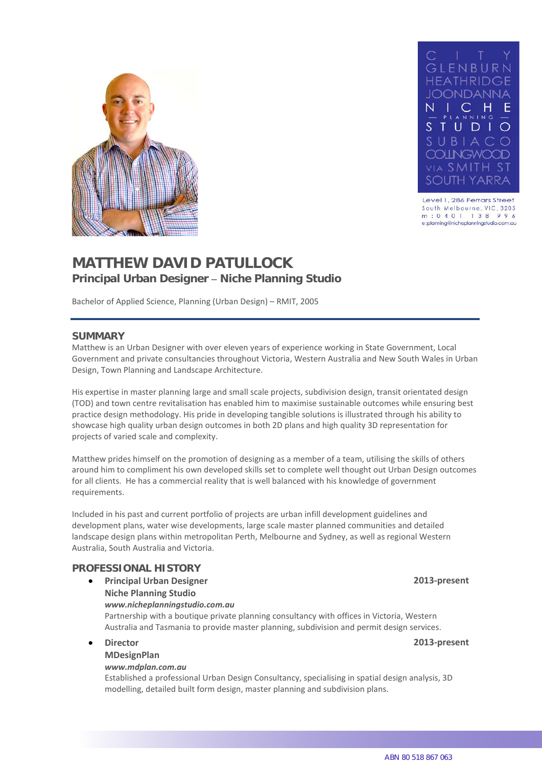



Level 1, 286 Ferrars Street South Melbourne, VIC, 3205 m: 0401 138 996 e:planning@nicheplanningstudio.com.au

# **MATTHEW DAVID PATULLOCK Principal Urban Designer – Niche Planning Studio**

Bachelor of Applied Science, Planning (Urban Design) – RMIT, 2005

### **SUMMARY**

Matthew is an Urban Designer with over eleven years of experience working in State Government, Local Government and private consultancies throughout Victoria, Western Australia and New South Wales in Urban Design, Town Planning and Landscape Architecture.

His expertise in master planning large and small scale projects, subdivision design, transit orientated design (TOD) and town centre revitalisation has enabled him to maximise sustainable outcomes while ensuring best practice design methodology. His pride in developing tangible solutions is illustrated through his ability to showcase high quality urban design outcomes in both 2D plans and high quality 3D representation for projects of varied scale and complexity.

Matthew prides himself on the promotion of designing as a member of a team, utilising the skills of others around him to compliment his own developed skills set to complete well thought out Urban Design outcomes for all clients. He has a commercial reality that is well balanced with his knowledge of government requirements.

Included in his past and current portfolio of projects are urban infill development guidelines and development plans, water wise developments, large scale master planned communities and detailed landscape design plans within metropolitan Perth, Melbourne and Sydney, as well as regional Western Australia, South Australia and Victoria.

### **PROFESSIONAL HISTORY**

- **Principal Urban Designer 2013-present Niche Planning Studio** *www.nicheplanningstudio.com.au* Partnership with a boutique private planning consultancy with offices in Victoria, Western Australia and Tasmania to provide master planning, subdivision and permit design services.
- **Director 2013-present MDesignPlan**

### *www.mdplan.com.au*

Established a professional Urban Design Consultancy, specialising in spatial design analysis, 3D modelling, detailed built form design, master planning and subdivision plans.